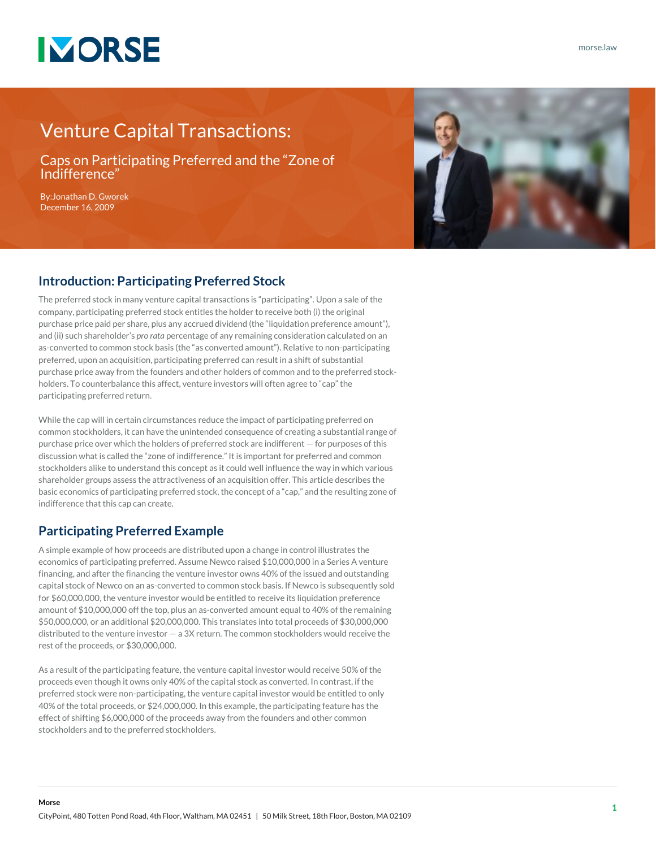

## Venture Capital Transactions:

Caps on Participating Preferred and the "Zone of Indifference"

By:[Jonathan D. Gworek](https://www.morse.law/attorney/jonathan-gworek/) December 16, 2009



#### **Introduction: Participating Preferred Stock**

The preferred stock in many venture capital transactions is "participating". Upon a sale of the company, participating preferred stock entitles the holder to receive both (i) the original purchase price paid per share, plus any accrued dividend (the "liquidation preference amount"), and (ii) such shareholder's *pro rata* percentage of any remaining consideration calculated on an as-converted to common stock basis (the "as converted amount"). Relative to non-participating preferred, upon an acquisition, participating preferred can result in a shift of substantial purchase price away from the founders and other holders of common and to the preferred stockholders. To counterbalance this affect, venture investors will often agree to "cap" the participating preferred return.

While the cap will in certain circumstances reduce the impact of participating preferred on common stockholders, it can have the unintended consequence of creating a substantial range of purchase price over which the holders of preferred stock are indifferent — for purposes of this discussion what is called the "zone of indifference." It is important for preferred and common stockholders alike to understand this concept as it could well influence the way in which various shareholder groups assess the attractiveness of an acquisition offer. This article describes the basic economics of participating preferred stock, the concept of a "cap," and the resulting zone of indifference that this cap can create.

### **Participating Preferred Example**

A simple example of how proceeds are distributed upon a change in control illustrates the economics of participating preferred. Assume Newco raised \$10,000,000 in a Series A venture financing, and after the financing the venture investor owns 40% of the issued and outstanding capital stock of Newco on an as-converted to common stock basis. If Newco is subsequently sold for \$60,000,000, the venture investor would be entitled to receive its liquidation preference amount of \$10,000,000 off the top, plus an as-converted amount equal to 40% of the remaining \$50,000,000, or an additional \$20,000,000. This translates into total proceeds of \$30,000,000 distributed to the venture investor — a 3X return. The common stockholders would receive the rest of the proceeds, or \$30,000,000.

As a result of the participating feature, the venture capital investor would receive 50% of the proceeds even though it owns only 40% of the capital stock as converted. In contrast, if the preferred stock were non-participating, the venture capital investor would be entitled to only 40% of the total proceeds, or \$24,000,000. In this example, the participating feature has the effect of shifting \$6,000,000 of the proceeds away from the founders and other common stockholders and to the preferred stockholders.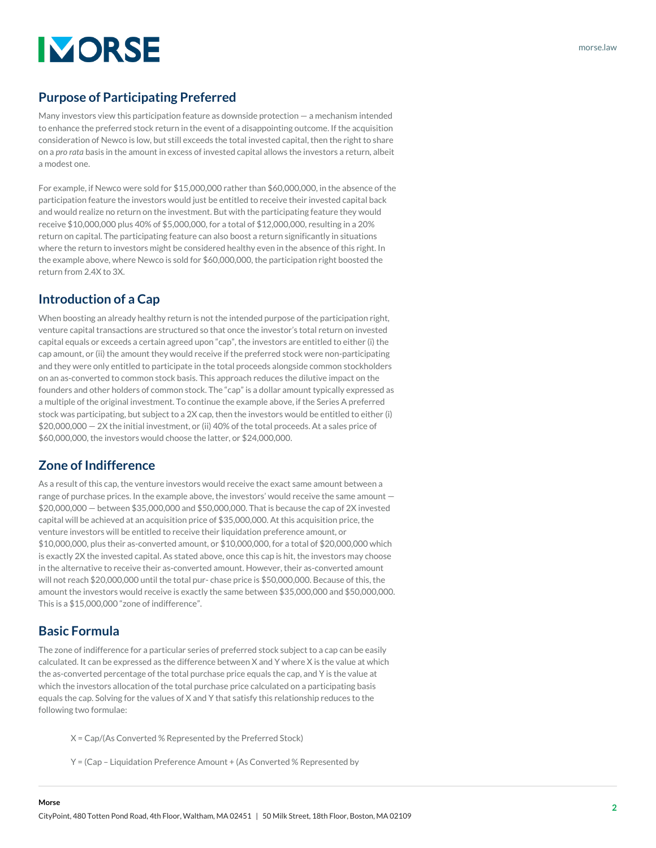# **IMORSE**

## **Purpose of Participating Preferred**

Many investors view this participation feature as downside protection — a mechanism intended to enhance the preferred stock return in the event of a disappointing outcome. If the acquisition consideration of Newco is low, but still exceeds the total invested capital, then the right to share on a *pro rata* basis in the amount in excess of invested capital allows the investors a return, albeit a modest one.

For example, if Newco were sold for \$15,000,000 rather than \$60,000,000, in the absence of the participation feature the investors would just be entitled to receive their invested capital back and would realize no return on the investment. But with the participating feature they would receive \$10,000,000 plus 40% of \$5,000,000, for a total of \$12,000,000, resulting in a 20% return on capital. The participating feature can also boost a return significantly in situations where the return to investors might be considered healthy even in the absence of this right. In the example above, where Newco is sold for \$60,000,000, the participation right boosted the return from 2.4X to 3X.

## **Introduction of a Cap**

When boosting an already healthy return is not the intended purpose of the participation right, venture capital transactions are structured so that once the investor's total return on invested capital equals or exceeds a certain agreed upon "cap", the investors are entitled to either (i) the cap amount, or (ii) the amount they would receive if the preferred stock were non-participating and they were only entitled to participate in the total proceeds alongside common stockholders on an as-converted to common stock basis. This approach reduces the dilutive impact on the founders and other holders of common stock. The "cap" is a dollar amount typically expressed as a multiple of the original investment. To continue the example above, if the Series A preferred stock was participating, but subject to a 2X cap, then the investors would be entitled to either (i) \$20,000,000 — 2X the initial investment, or (ii) 40% of the total proceeds. At a sales price of \$60,000,000, the investors would choose the latter, or \$24,000,000.

## **Zone of Indifference**

As a result of this cap, the venture investors would receive the exact same amount between a range of purchase prices. In the example above, the investors' would receive the same amount — \$20,000,000 — between \$35,000,000 and \$50,000,000. That is because the cap of 2X invested capital will be achieved at an acquisition price of \$35,000,000. At this acquisition price, the venture investors will be entitled to receive their liquidation preference amount, or \$10,000,000, plus their as-converted amount, or \$10,000,000, for a total of \$20,000,000 which is exactly 2X the invested capital. As stated above, once this cap is hit, the investors may choose in the alternative to receive their as-converted amount. However, their as-converted amount will not reach \$20,000,000 until the total pur- chase price is \$50,000,000. Because of this, the amount the investors would receive is exactly the same between \$35,000,000 and \$50,000,000. This is a \$15,000,000 "zone of indifference".

#### **Basic Formula**

**Morse**

The zone of indifference for a particular series of preferred stock subject to a cap can be easily calculated. It can be expressed as the difference between X and Y where X is the value at which the as-converted percentage of the total purchase price equals the cap, and Y is the value at which the investors allocation of the total purchase price calculated on a participating basis equals the cap. Solving for the values of X and Y that satisfy this relationship reduces to the following two formulae:

- X = Cap/(As Converted % Represented by the Preferred Stock)
- Y = (Cap Liquidation Preference Amount + (As Converted % Represented by